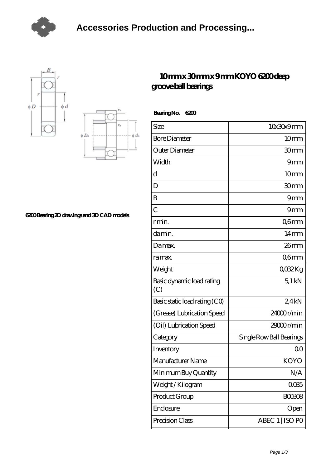





## **[6200 Bearing 2D drawings and 3D CAD models](https://m.tvqso.com/pic-166109.html)**

## **[10 mm x 30 mm x 9 mm KOYO 6200 deep](https://m.tvqso.com/ar-166109-koyo-6200-deep-groove-ball-bearings.html) [groove ball bearings](https://m.tvqso.com/ar-166109-koyo-6200-deep-groove-ball-bearings.html)**

 **Bearing No. 6200**

| Size                             | 10x30x9mm                |
|----------------------------------|--------------------------|
| <b>Bore Diameter</b>             | 10 <sub>mm</sub>         |
| Outer Diameter                   | 30mm                     |
| Width                            | 9 <sub>mm</sub>          |
| d                                | 10 <sub>mm</sub>         |
| D                                | 30mm                     |
| B                                | 9mm                      |
| $\overline{C}$                   | 9 <sub>mm</sub>          |
| r min.                           | Q6mm                     |
| da min.                          | $14 \text{mm}$           |
| Damax.                           | $26$ mm                  |
| ra max.                          | Q6mm                     |
| Weight                           | 0032Kg                   |
| Basic dynamic load rating<br>(C) | $5.1$ kN                 |
| Basic static load rating (CO)    | 24kN                     |
| (Grease) Lubrication Speed       | 24000r/min               |
| (Oil) Lubrication Speed          | 29000r/min               |
| Category                         | Single Row Ball Bearings |
| Inventory                        | 0 <sup>0</sup>           |
| Manufacturer Name                | KOYO                     |
| Minimum Buy Quantity             | N/A                      |
| Weight/Kilogram                  | 0035                     |
| Product Group                    | <b>BOO3O8</b>            |
| Enclosure                        | Open                     |
| Precision Class                  | ABEC 1   ISO PO          |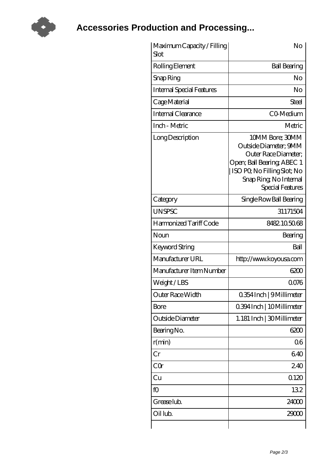

**[Accessories Production and Processing...](https://m.tvqso.com)**

| Maximum Capacity / Filling<br>Slot | No                                                                                                                                                                          |
|------------------------------------|-----------------------------------------------------------------------------------------------------------------------------------------------------------------------------|
| Rolling Element                    | <b>Ball Bearing</b>                                                                                                                                                         |
| Snap Ring                          | No                                                                                                                                                                          |
| <b>Internal Special Features</b>   | No                                                                                                                                                                          |
| Cage Material                      | Steel                                                                                                                                                                       |
| <b>Internal Clearance</b>          | CO-Medium                                                                                                                                                                   |
| Inch - Metric                      | Metric                                                                                                                                                                      |
| Long Description                   | 10MM Bore; 30MM<br>Outside Diameter; 9MM<br>Outer Race Diameter;<br>Open; Ball Bearing; ABEC 1<br>ISO PO, No Filling Slot; No<br>Snap Ring, No Internal<br>Special Features |
| Category                           | Single Row Ball Bearing                                                                                                                                                     |
| <b>UNSPSC</b>                      | 31171504                                                                                                                                                                    |
| Harmonized Tariff Code             | 8482105068                                                                                                                                                                  |
| Noun                               | Bearing                                                                                                                                                                     |
| Keyword String                     | Ball                                                                                                                                                                        |
| Manufacturer URL                   | http://www.koyousa.com                                                                                                                                                      |
| Manufacturer Item Number           | 6200                                                                                                                                                                        |
| Weight/LBS                         | 0076                                                                                                                                                                        |
| Outer Race Width                   | 0.354 Inch   9 Millimeter                                                                                                                                                   |
| <b>Bore</b>                        | 0.394 Inch   10 Millimeter                                                                                                                                                  |
| Outside Diameter                   | 1.181 Inch   30 Millimeter                                                                                                                                                  |
| Bearing No.                        | 6200                                                                                                                                                                        |
| r(min)                             | 06                                                                                                                                                                          |
| Cr                                 | 640                                                                                                                                                                         |
| CQr                                | 240                                                                                                                                                                         |
| Cu                                 | 0120                                                                                                                                                                        |
| fO                                 | 132                                                                                                                                                                         |
| Grease lub.                        | 24000                                                                                                                                                                       |
| Oil lub.                           | 29000                                                                                                                                                                       |
|                                    |                                                                                                                                                                             |